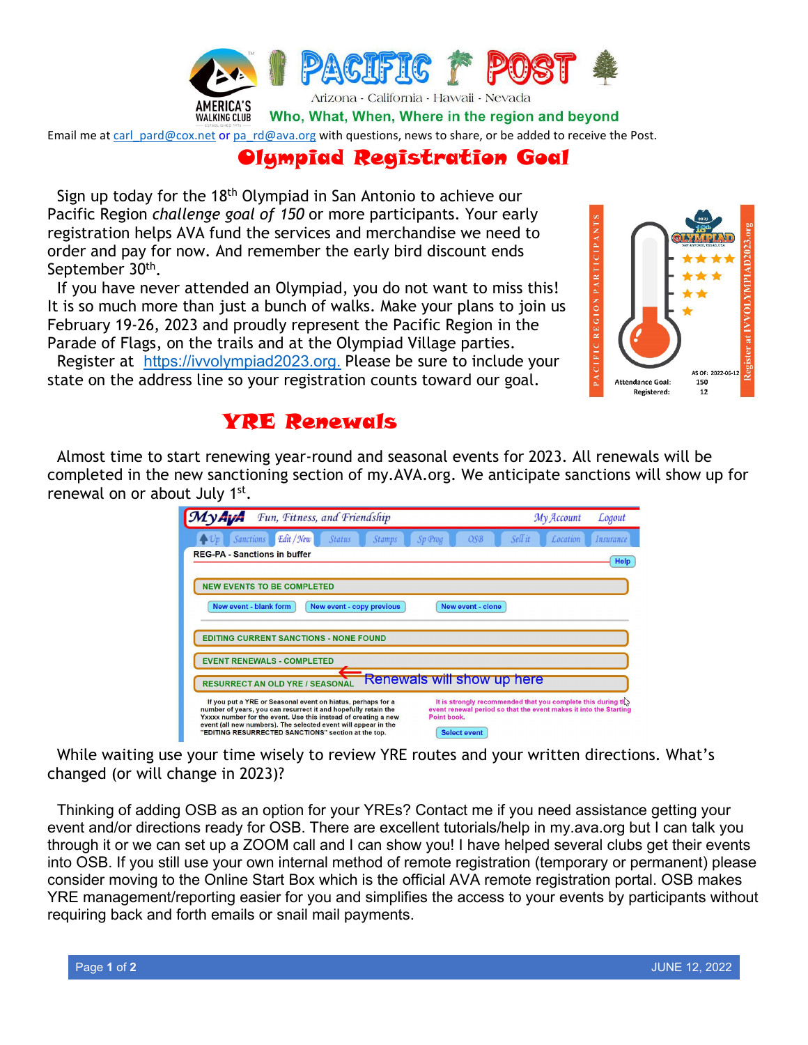

Email me at [carl\\_pard@cox.net](mailto:carl_pard@cox.net) or [pa\\_rd@ava.org](mailto:pa_rd@ava.org) with questions, news to share, or be added to receive the Post.

## Olympiad Registration Goal

Sign up today for the 18th Olympiad in San Antonio to achieve our Pacific Region *challenge goal of 150* or more participants. Your early registration helps AVA fund the services and merchandise we need to order and pay for now. And remember the early bird discount ends September 30th.

If you have never attended an Olympiad, you do not want to miss this! It is so much more than just a bunch of walks. Make your plans to join us February 19-26, 2023 and proudly represent the Pacific Region in the Parade of Flags, on the trails and at the Olympiad Village parties.

Register at [https://ivvolympiad2023.org.](https://ivvolympiad2023.org/) Please be sure to include your state on the address line so your registration counts toward our goal.



#### YRE Renewals

Almost time to start renewing year-round and seasonal events for 2023. All renewals will be completed in the new sanctioning section of my.AVA.org. We anticipate sanctions will show up for renewal on or about July 1<sup>st</sup>.

| Fun, Fitness, and Friendship                                                                                                                                                                                                                                                                                                            |                                                                                                                                                                     | My Account | Logout    |  |  |  |  |  |
|-----------------------------------------------------------------------------------------------------------------------------------------------------------------------------------------------------------------------------------------------------------------------------------------------------------------------------------------|---------------------------------------------------------------------------------------------------------------------------------------------------------------------|------------|-----------|--|--|--|--|--|
| Edit / New<br>Sanctions<br>Sp Prog<br><b>Status</b><br><b>Stamps</b>                                                                                                                                                                                                                                                                    | Sell it<br>OSB                                                                                                                                                      | Location   | Insurance |  |  |  |  |  |
| <b>REG-PA - Sanctions in buffer</b><br><b>Help</b>                                                                                                                                                                                                                                                                                      |                                                                                                                                                                     |            |           |  |  |  |  |  |
| <b>NEW EVENTS TO BE COMPLETED</b>                                                                                                                                                                                                                                                                                                       |                                                                                                                                                                     |            |           |  |  |  |  |  |
| New event - blank form<br>New event - copy previous                                                                                                                                                                                                                                                                                     | New event - clone                                                                                                                                                   |            |           |  |  |  |  |  |
| <b>EDITING CURRENT SANCTIONS - NONE FOUND</b>                                                                                                                                                                                                                                                                                           |                                                                                                                                                                     |            |           |  |  |  |  |  |
| <b>EVENT RENEWALS - COMPLETED</b>                                                                                                                                                                                                                                                                                                       |                                                                                                                                                                     |            |           |  |  |  |  |  |
| Renewals will show up here<br><b>RESURRECT AN OLD YRE / SEASONAL</b>                                                                                                                                                                                                                                                                    |                                                                                                                                                                     |            |           |  |  |  |  |  |
| If you put a YRE or Seasonal event on hiatus, perhaps for a<br>number of years, you can resurrect it and hopefully retain the<br>Yxxxx number for the event. Use this instead of creating a new<br>Point book.<br>event (all new numbers). The selected event will appear in the<br>"EDITING RESURRECTED SANCTIONS" section at the top. | It is strongly recommended that you complete this during $\mathbf{t}$ .<br>event renewal period so that the event makes it into the Starting<br><b>Select event</b> |            |           |  |  |  |  |  |

While waiting use your time wisely to review YRE routes and your written directions. What's changed (or will change in 2023)?

Thinking of adding OSB as an option for your YREs? Contact me if you need assistance getting your event and/or directions ready for OSB. There are excellent tutorials/help in my.ava.org but I can talk you through it or we can set up a ZOOM call and I can show you! I have helped several clubs get their events into OSB. If you still use your own internal method of remote registration (temporary or permanent) please consider moving to the Online Start Box which is the official AVA remote registration portal. OSB makes YRE management/reporting easier for you and simplifies the access to your events by participants without requiring back and forth emails or snail mail payments.